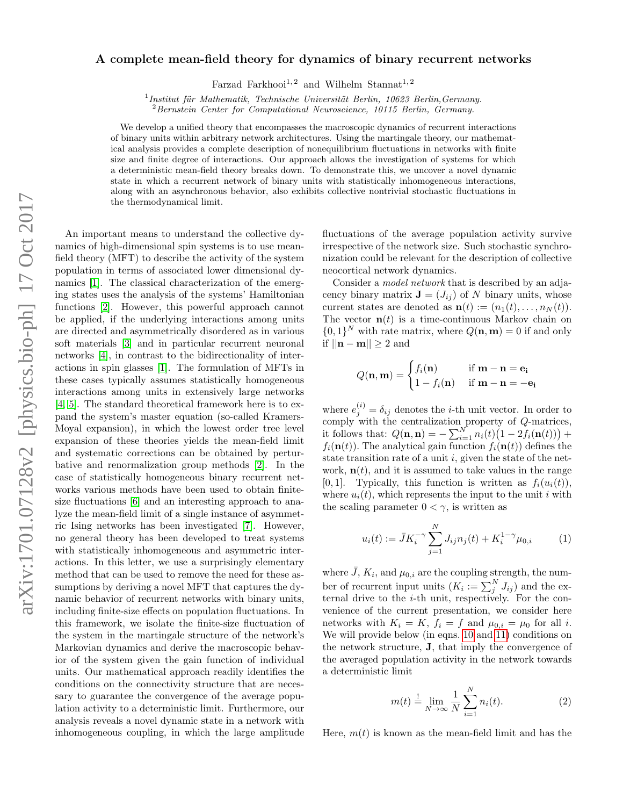## arXiv:1701.07128v2 [physics.bio-ph] 17 Oct 2017 arXiv:1701.07128v2 [physics.bio-ph] 17 Oct 2017

## A complete mean-field theory for dynamics of binary recurrent networks

Farzad Farkhooi<sup>1, 2</sup> and Wilhelm Stannat<sup>1, 2</sup>

 $1$ Institut für Mathematik, Technische Universität Berlin, 10623 Berlin, Germany.

<sup>2</sup> Bernstein Center for Computational Neuroscience, 10115 Berlin, Germany.

We develop a unified theory that encompasses the macroscopic dynamics of recurrent interactions of binary units within arbitrary network architectures. Using the martingale theory, our mathematical analysis provides a complete description of nonequilibrium fluctuations in networks with finite size and finite degree of interactions. Our approach allows the investigation of systems for which a deterministic mean-field theory breaks down. To demonstrate this, we uncover a novel dynamic state in which a recurrent network of binary units with statistically inhomogeneous interactions, along with an asynchronous behavior, also exhibits collective nontrivial stochastic fluctuations in the thermodynamical limit.

An important means to understand the collective dynamics of high-dimensional spin systems is to use meanfield theory (MFT) to describe the activity of the system population in terms of associated lower dimensional dynamics [\[1\]](#page-4-0). The classical characterization of the emerging states uses the analysis of the systems' Hamiltonian functions [\[2\]](#page-4-1). However, this powerful approach cannot be applied, if the underlying interactions among units are directed and asymmetrically disordered as in various soft materials [\[3\]](#page-4-2) and in particular recurrent neuronal networks [\[4\]](#page-4-3), in contrast to the bidirectionality of interactions in spin glasses [\[1\]](#page-4-0). The formulation of MFTs in these cases typically assumes statistically homogeneous interactions among units in extensively large networks [\[4,](#page-4-3) [5\]](#page-4-4). The standard theoretical framework here is to expand the system's master equation (so-called Kramers-Moyal expansion), in which the lowest order tree level expansion of these theories yields the mean-field limit and systematic corrections can be obtained by perturbative and renormalization group methods [\[2\]](#page-4-5). In the case of statistically homogeneous binary recurrent networks various methods have been used to obtain finitesize fluctuations [\[6\]](#page-4-6) and an interesting approach to analyze the mean-field limit of a single instance of asymmetric Ising networks has been investigated [\[7\]](#page-4-7). However, no general theory has been developed to treat systems with statistically inhomogeneous and asymmetric interactions. In this letter, we use a surprisingly elementary method that can be used to remove the need for these assumptions by deriving a novel MFT that captures the dynamic behavior of recurrent networks with binary units, including finite-size effects on population fluctuations. In this framework, we isolate the finite-size fluctuation of the system in the martingale structure of the network's Markovian dynamics and derive the macroscopic behavior of the system given the gain function of individual units. Our mathematical approach readily identifies the conditions on the connectivity structure that are necessary to guarantee the convergence of the average population activity to a deterministic limit. Furthermore, our analysis reveals a novel dynamic state in a network with inhomogeneous coupling, in which the large amplitude

fluctuations of the average population activity survive irrespective of the network size. Such stochastic synchronization could be relevant for the description of collective neocortical network dynamics.

Consider a model network that is described by an adjacency binary matrix  $\mathbf{J} = (J_{ij})$  of N binary units, whose current states are denoted as  $\mathbf{n}(t) := (n_1(t), \ldots, n_N(t)).$ The vector  $\mathbf{n}(t)$  is a time-continuous Markov chain on  $\{0,1\}^N$  with rate matrix, where  $Q(\mathbf{n},\mathbf{m})=0$  if and only if  $||\mathbf{n} - \mathbf{m}|| \geq 2$  and

$$
Q(\mathbf{n}, \mathbf{m}) = \begin{cases} f_i(\mathbf{n}) & \text{if } \mathbf{m} - \mathbf{n} = \mathbf{e_i} \\ 1 - f_i(\mathbf{n}) & \text{if } \mathbf{m} - \mathbf{n} = -\mathbf{e_i} \end{cases}
$$

where  $e_j^{(i)} = \delta_{ij}$  denotes the *i*-th unit vector. In order to comply with the centralization property of Q-matrices, it follows that:  $Q(\mathbf{n}, \mathbf{n}) = -\sum_{i=1}^{N} n_i(t) (1 - 2f_i(\mathbf{n}(t))) +$  $f_i(\mathbf{n}(t))$ . The analytical gain function  $f_i(\mathbf{n}(t))$  defines the state transition rate of a unit  $i$ , given the state of the network,  $\mathbf{n}(t)$ , and it is assumed to take values in the range [0, 1]. Typically, this function is written as  $f_i(u_i(t)),$ where  $u_i(t)$ , which represents the input to the unit i with the scaling parameter  $0 < \gamma$ , is written as

$$
u_i(t) := \bar{J}K_i^{-\gamma} \sum_{j=1}^N J_{ij} n_j(t) + K_i^{1-\gamma} \mu_{0,i}
$$
 (1)

where  $\bar{J}$ ,  $K_i$ , and  $\mu_{0,i}$  are the coupling strength, the number of recurrent input units  $(K_i := \sum_j^N J_{ij})$  and the external drive to the i-th unit, respectively. For the convenience of the current presentation, we consider here networks with  $K_i = K$ ,  $f_i = f$  and  $\mu_{0,i} = \mu_0$  for all i. We will provide below (in eqns. [10](#page-1-0) and [11\)](#page-1-1) conditions on the network structure, J, that imply the convergence of the averaged population activity in the network towards a deterministic limit

<span id="page-0-0"></span>
$$
m(t) \stackrel{!}{=} \lim_{N \to \infty} \frac{1}{N} \sum_{i=1}^{N} n_i(t).
$$
 (2)

Here,  $m(t)$  is known as the mean-field limit and has the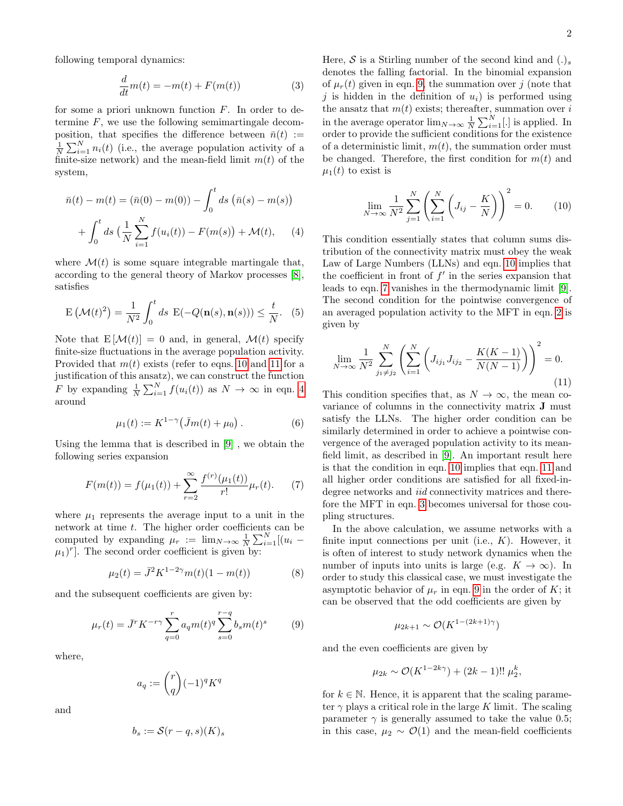<span id="page-1-5"></span>
$$
\frac{d}{dt}m(t) = -m(t) + F(m(t))\tag{3}
$$

for some a priori unknown function  $F$ . In order to determine  $F$ , we use the following semimartingale decomposition, that specifies the difference between  $\bar{n}(t) :=$  $\frac{1}{N}\sum_{i=1}^{N}n_i(t)$  (i.e., the average population activity of a finite-size network) and the mean-field limit  $m(t)$  of the system,

$$
\bar{n}(t) - m(t) = (\bar{n}(0) - m(0)) - \int_0^t ds \, (\bar{n}(s) - m(s))
$$

$$
+ \int_0^t ds \, (\frac{1}{N} \sum_{i=1}^N f(u_i(t)) - F(m(s)) + \mathcal{M}(t), \quad (4)
$$

where  $\mathcal{M}(t)$  is some square integrable martingale that, according to the general theory of Markov processes [\[8\]](#page-4-8), satisfies

<span id="page-1-6"></span>
$$
\mathcal{E}\left(\mathcal{M}(t)^2\right) = \frac{1}{N^2} \int_0^t ds \ \mathcal{E}(-Q(\mathbf{n}(s), \mathbf{n}(s))) \le \frac{t}{N}.
$$
 (5)

Note that  $E[\mathcal{M}(t)] = 0$  and, in general,  $\mathcal{M}(t)$  specify finite-size fluctuations in the average population activity. Provided that  $m(t)$  exists (refer to eqns. [10](#page-1-0) and [11](#page-1-1) for a justification of this ansatz), we can construct the function F by expanding  $\frac{1}{N} \sum_{i=1}^{N} f(u_i(t))$  as  $N \to \infty$  in eqn. [4](#page-1-2) around

$$
\mu_1(t) := K^{1-\gamma}(\bar{J}m(t) + \mu_0).
$$
 (6)

Using the lemma that is described in [\[9\]](#page-4-9) , we obtain the following series expansion

<span id="page-1-4"></span>
$$
F(m(t)) = f(\mu_1(t)) + \sum_{r=2}^{\infty} \frac{f^{(r)}(\mu_1(t))}{r!} \mu_r(t). \tag{7}
$$

where  $\mu_1$  represents the average input to a unit in the network at time t. The higher order coefficients can be computed by expanding  $\mu_r := \lim_{N \to \infty} \frac{1}{N} \sum_{i=1}^{N} [(u_i (\mu_1)^r$ . The second order coefficient is given by:

$$
\mu_2(t) = \bar{J}^2 K^{1-2\gamma} m(t) (1 - m(t)) \tag{8}
$$

and the subsequent coefficients are given by:

<span id="page-1-3"></span>
$$
\mu_r(t) = \bar{J}^r K^{-r\gamma} \sum_{q=0}^r a_q m(t)^q \sum_{s=0}^{r-q} b_s m(t)^s \qquad (9)
$$

where,

$$
a_q := \binom{r}{q} (-1)^q K^q
$$

and

$$
b_s := \mathcal{S}(r-q,s)(K)_s
$$

Here,  $S$  is a Stirling number of the second kind and  $(.)_s$ denotes the falling factorial. In the binomial expansion of  $\mu_r(t)$  given in eqn. [9,](#page-1-3) the summation over j (note that j is hidden in the definition of  $u_i$ ) is performed using the ansatz that  $m(t)$  exists; thereafter, summation over  $i$ in the average operator  $\lim_{N\to\infty}\frac{1}{N}\sum_{i=1}^{N}[.]$  is applied. In order to provide the sufficient conditions for the existence of a deterministic limit,  $m(t)$ , the summation order must be changed. Therefore, the first condition for  $m(t)$  and  $\mu_1(t)$  to exist is

<span id="page-1-0"></span>
$$
\lim_{N \to \infty} \frac{1}{N^2} \sum_{j=1}^{N} \left( \sum_{i=1}^{N} \left( J_{ij} - \frac{K}{N} \right) \right)^2 = 0.
$$
 (10)

<span id="page-1-2"></span>This condition essentially states that column sums distribution of the connectivity matrix must obey the weak Law of Large Numbers (LLNs) and eqn. [10](#page-1-0) implies that the coefficient in front of  $f'$  in the series expansion that leads to eqn. [7](#page-1-4) vanishes in the thermodynamic limit [\[9\]](#page-4-9). The second condition for the pointwise convergence of an averaged population activity to the MFT in eqn. [2](#page-0-0) is given by

<span id="page-1-1"></span>
$$
\lim_{N \to \infty} \frac{1}{N^2} \sum_{j_1 \neq j_2}^{N} \left( \sum_{i=1}^{N} \left( J_{ij_1} J_{ij_2} - \frac{K(K-1)}{N(N-1)} \right) \right)^2 = 0.
$$
\n(11)

This condition specifies that, as  $N \to \infty$ , the mean covariance of columns in the connectivity matrix J must satisfy the LLNs. The higher order condition can be similarly determined in order to achieve a pointwise convergence of the averaged population activity to its meanfield limit, as described in [\[9\]](#page-4-9). An important result here is that the condition in eqn. [10](#page-1-0) implies that eqn. [11](#page-1-1) and all higher order conditions are satisfied for all fixed-indegree networks and *iid* connectivity matrices and therefore the MFT in eqn. [3](#page-1-5) becomes universal for those coupling structures.

In the above calculation, we assume networks with a finite input connections per unit (i.e.,  $K$ ). However, it is often of interest to study network dynamics when the number of inputs into units is large (e.g.  $K \to \infty$ ). In order to study this classical case, we must investigate the asymptotic behavior of  $\mu_r$  in eqn. [9](#page-1-3) in the order of K; it can be observed that the odd coefficients are given by

$$
\mu_{2k+1} \sim \mathcal{O}(K^{1-(2k+1)\gamma})
$$

and the even coefficients are given by

$$
\mu_{2k} \sim \mathcal{O}(K^{1-2k\gamma}) + (2k-1)!! \mu_2^k,
$$

for  $k \in \mathbb{N}$ . Hence, it is apparent that the scaling parameter  $\gamma$  plays a critical role in the large K limit. The scaling parameter  $\gamma$  is generally assumed to take the value 0.5; in this case,  $\mu_2 \sim \mathcal{O}(1)$  and the mean-field coefficients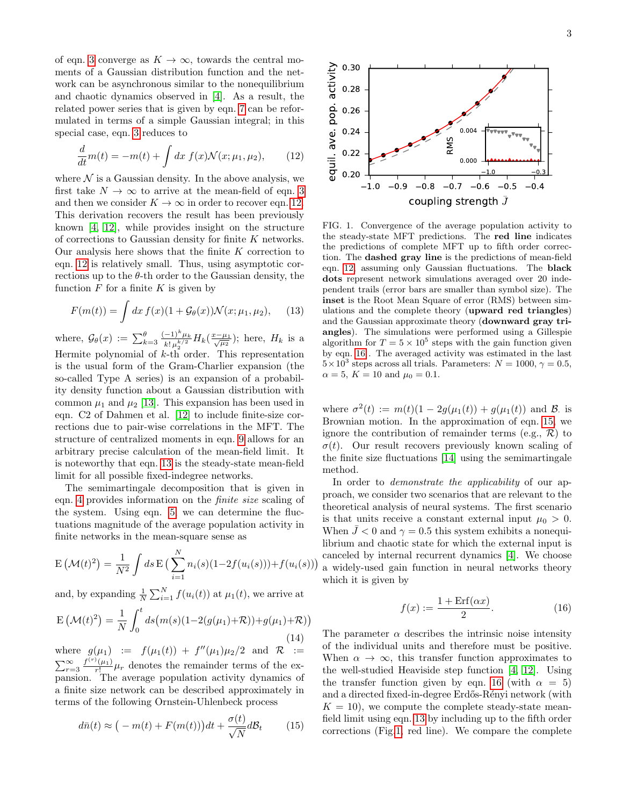of eqn. [3](#page-1-5) converge as  $K \to \infty$ , towards the central moments of a Gaussian distribution function and the network can be asynchronous similar to the nonequilibrium and chaotic dynamics observed in [\[4\]](#page-4-3). As a result, the related power series that is given by eqn. [7](#page-1-4) can be reformulated in terms of a simple Gaussian integral; in this special case, eqn. [3](#page-1-5) reduces to

<span id="page-2-0"></span>
$$
\frac{d}{dt}m(t) = -m(t) + \int dx f(x) \mathcal{N}(x; \mu_1, \mu_2), \quad (12)
$$

where  $\mathcal N$  is a Gaussian density. In the above analysis, we first take  $N \to \infty$  to arrive at the mean-field of eqn. [3](#page-1-5) and then we consider  $K \to \infty$  in order to recover eqn. [12.](#page-2-0) This derivation recovers the result has been previously known [\[4,](#page-4-3) [12\]](#page-4-10), while provides insight on the structure of corrections to Gaussian density for finite K networks. Our analysis here shows that the finite  $K$  correction to eqn. [12](#page-2-0) is relatively small. Thus, using asymptotic corrections up to the  $\theta$ -th order to the Gaussian density, the function  $F$  for a finite  $K$  is given by

<span id="page-2-1"></span>
$$
F(m(t)) = \int dx f(x) (1 + \mathcal{G}_{\theta}(x)) \mathcal{N}(x; \mu_1, \mu_2), \quad (13)
$$

where,  $\mathcal{G}_{\theta}(x) := \sum_{k=3}^{\theta} \frac{(-1)^k \mu_k}{k! \mu^{k/2}}$  $\frac{(-1)^k \mu_k}{k! \mu_2^{k/2}} H_k(\frac{x-\mu_1}{\sqrt{\mu_2}});$  here,  $H_k$  is a Hermite polynomial of  $k$ -th order. This representation is the usual form of the Gram-Charlier expansion (the so-called Type A series) is an expansion of a probability density function about a Gaussian distribution with common  $\mu_1$  and  $\mu_2$  [\[13\]](#page-4-11). This expansion has been used in eqn. C2 of Dahmen et al. [\[12\]](#page-4-10) to include finite-size corrections due to pair-wise correlations in the MFT. The structure of centralized moments in eqn. [9](#page-1-3) allows for an arbitrary precise calculation of the mean-field limit. It is noteworthy that eqn. [13](#page-2-1) is the steady-state mean-field limit for all possible fixed-indegree networks.

The semimartingale decomposition that is given in eqn. [4](#page-1-2) provides information on the finite size scaling of the system. Using eqn. [5,](#page-1-6) we can determine the fluctuations magnitude of the average population activity in finite networks in the mean-square sense as

$$
E(\mathcal{M}(t)^{2}) = \frac{1}{N^{2}} \int ds E\left(\sum_{i=1}^{N} n_{i}(s)(1 - 2f(u_{i}(s))) + f(u_{i}(s))\right)
$$

and, by expanding  $\frac{1}{N} \sum_{i=1}^{N} f(u_i(t))$  at  $\mu_1(t)$ , we arrive at

$$
E(\mathcal{M}(t)^{2}) = \frac{1}{N} \int_{0}^{t} ds(m(s)(1 - 2(g(\mu_{1}) + \mathcal{R})) + g(\mu_{1}) + \mathcal{R}))
$$
\n(14)

where  $g(\mu_1) := f(\mu_1(t)) + f''(\mu_1)\mu_2/2$  and  $\mathcal{R} :=$  $\sum_{r=3}^{\infty} \frac{f^{(r)}(\mu_1)}{r!} \mu_r$  denotes the remainder terms of the expansion. The average population activity dynamics of a finite size network can be described approximately in terms of the following Ornstein-Uhlenbeck process

<span id="page-2-3"></span>
$$
d\bar{n}(t) \approx \big(-m(t) + F(m(t))\big)dt + \frac{\sigma(t)}{\sqrt{N}}d\mathcal{B}_t \tag{15}
$$



<span id="page-2-4"></span>FIG. 1. Convergence of the average population activity to the steady-state MFT predictions. The red line indicates the predictions of complete MFT up to fifth order correction. The dashed gray line is the predictions of mean-field eqn. [12,](#page-2-0) assuming only Gaussian fluctuations. The black dots represent network simulations averaged over 20 independent trails (error bars are smaller than symbol size). The inset is the Root Mean Square of error (RMS) between simulations and the complete theory (upward red triangles) and the Gaussian approximate theory (downward gray triangles). The simulations were performed using a Gillespie algorithm for  $T = 5 \times 10^5$  steps with the gain function given by eqn. [16](#page-2-2) . The averaged activity was estimated in the last  $5 \times 10^3$  steps across all trials. Parameters:  $N = 1000, \gamma = 0.5$ ,  $\alpha = 5, K = 10 \text{ and } \mu_0 = 0.1.$ 

where  $\sigma^2(t) := m(t)(1 - 2g(\mu_1(t)) + g(\mu_1(t))$  and B. is Brownian motion. In the approximation of eqn. [15,](#page-2-3) we ignore the contribution of remainder terms (e.g.,  $\mathcal{R}$ ) to  $\sigma(t)$ . Our result recovers previously known scaling of the finite size fluctuations [\[14\]](#page-4-12) using the semimartingale method.

In order to *demonstrate the applicability* of our approach, we consider two scenarios that are relevant to the theoretical analysis of neural systems. The first scenario is that units receive a constant external input  $\mu_0 > 0$ . When  $\bar{J}$  < 0 and  $\gamma = 0.5$  this system exhibits a nonequilibrium and chaotic state for which the external input is canceled by internal recurrent dynamics [\[4\]](#page-4-3). We choose a widely-used gain function in neural networks theory which it is given by

<span id="page-2-2"></span>
$$
f(x) := \frac{1 + \text{Erf}(\alpha x)}{2}.
$$
 (16)

The parameter  $\alpha$  describes the intrinsic noise intensity of the individual units and therefore must be positive. When  $\alpha \to \infty$ , this transfer function approximates to the well-studied Heaviside step function [\[4,](#page-4-3) [12\]](#page-4-10). Using the transfer function given by eqn. [16](#page-2-2) (with  $\alpha = 5$ ) and a directed fixed-in-degree Erdős-Rényi network (with  $K = 10$ , we compute the complete steady-state meanfield limit using eqn. [13](#page-2-1) by including up to the fifth order corrections (Fig[.1,](#page-2-4) red line). We compare the complete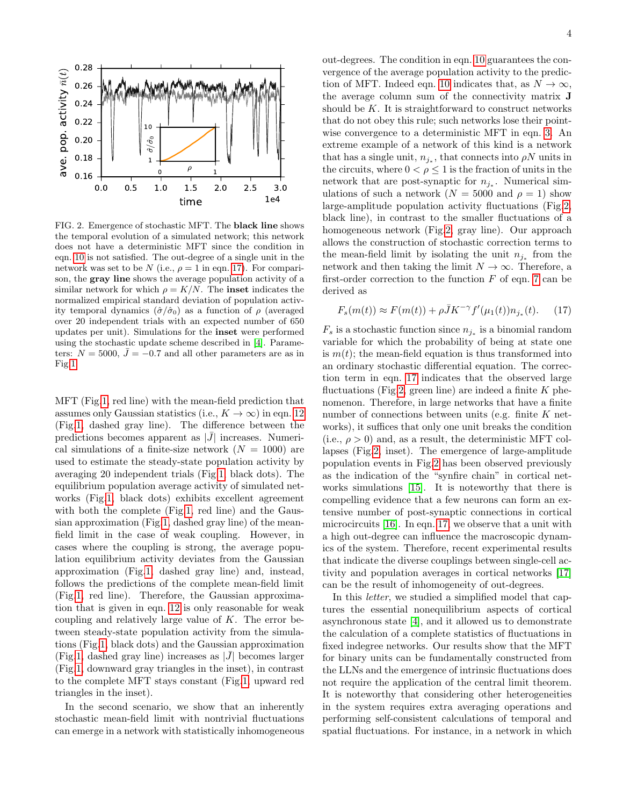

<span id="page-3-1"></span>FIG. 2. Emergence of stochastic MFT. The black line shows the temporal evolution of a simulated network; this network does not have a deterministic MFT since the condition in eqn. [10](#page-1-0) is not satisfied. The out-degree of a single unit in the network was set to be N (i.e.,  $\rho = 1$  in eqn. [17\)](#page-3-0). For comparison, the gray line shows the average population activity of a similar network for which  $\rho = K/N$ . The **inset** indicates the normalized empirical standard deviation of population activity temporal dynamics  $(\hat{\sigma}/\hat{\sigma}_0)$  as a function of  $\rho$  (averaged over 20 independent trials with an expected number of 650 updates per unit). Simulations for the inset were performed using the stochastic update scheme described in [\[4\]](#page-4-3). Parameters:  $N = 5000$ ,  $\bar{J} = -0.7$  and all other parameters are as in Fig[.1.](#page-2-4)

MFT (Fig[.1,](#page-2-4) red line) with the mean-field prediction that assumes only Gaussian statistics (i.e.,  $K \to \infty$ ) in eqn. [12](#page-2-0) (Fig[.1,](#page-2-4) dashed gray line). The difference between the predictions becomes apparent as  $|J|$  increases. Numerical simulations of a finite-size network  $(N = 1000)$  are used to estimate the steady-state population activity by averaging 20 independent trials (Fig[.1,](#page-2-4) black dots). The equilibrium population average activity of simulated networks (Fig[.1,](#page-2-4) black dots) exhibits excellent agreement with both the complete (Fig[.1,](#page-2-4) red line) and the Gaussian approximation (Fig[.1,](#page-2-4) dashed gray line) of the meanfield limit in the case of weak coupling. However, in cases where the coupling is strong, the average population equilibrium activity deviates from the Gaussian approximation (Fig[.1,](#page-2-4) dashed gray line) and, instead, follows the predictions of the complete mean-field limit (Fig[.1,](#page-2-4) red line). Therefore, the Gaussian approximation that is given in eqn. [12](#page-2-0) is only reasonable for weak coupling and relatively large value of  $K$ . The error between steady-state population activity from the simulations (Fig[.1,](#page-2-4) black dots) and the Gaussian approximation (Fig[.1,](#page-2-4) dashed gray line) increases as  $|\bar{J}|$  becomes larger (Fig[.1,](#page-2-4) downward gray triangles in the inset), in contrast to the complete MFT stays constant (Fig[.1,](#page-2-4) upward red triangles in the inset).

In the second scenario, we show that an inherently stochastic mean-field limit with nontrivial fluctuations can emerge in a network with statistically inhomogeneous out-degrees. The condition in eqn. [10](#page-1-0) guarantees the convergence of the average population activity to the predic-tion of MFT. Indeed eqn. [10](#page-1-0) indicates that, as  $N \to \infty$ , the average column sum of the connectivity matrix J should be  $K$ . It is straightforward to construct networks that do not obey this rule; such networks lose their pointwise convergence to a deterministic MFT in eqn. [3.](#page-1-5) An extreme example of a network of this kind is a network that has a single unit,  $n_{j_*}$ , that connects into  $\rho N$  units in the circuits, where  $0<\rho\leq 1$  is the fraction of units in the network that are post-synaptic for  $n_{j_*}$ . Numerical simulations of such a network  $(N = 5000 \text{ and } \rho = 1)$  show large-amplitude population activity fluctuations (Fig[.2,](#page-3-1) black line), in contrast to the smaller fluctuations of a homogeneous network (Fig[.2,](#page-3-1) gray line). Our approach allows the construction of stochastic correction terms to the mean-field limit by isolating the unit  $n_{j^*}$  from the network and then taking the limit  $N \to \infty$ . Therefore, a first-order correction to the function  $F$  of eqn. [7](#page-1-4) can be derived as

<span id="page-3-0"></span>
$$
F_s(m(t)) \approx F(m(t)) + \rho \bar{J} K^{-\gamma} f'(\mu_1(t)) n_{j_*}(t). \tag{17}
$$

 $F_s$  is a stochastic function since  $n_{j_*}$  is a binomial random variable for which the probability of being at state one is  $m(t)$ ; the mean-field equation is thus transformed into an ordinary stochastic differential equation. The correction term in eqn. [17](#page-3-0) indicates that the observed large fluctuations (Fig[.2,](#page-3-1) green line) are indeed a finite  $K$  phenomenon. Therefore, in large networks that have a finite number of connections between units (e.g. finite  $K$  networks), it suffices that only one unit breaks the condition (i.e.,  $\rho > 0$ ) and, as a result, the deterministic MFT collapses (Fig[.2,](#page-3-1) inset). The emergence of large-amplitude population events in Fig[.2](#page-3-1) has been observed previously as the indication of the "synfire chain" in cortical networks simulations [\[15\]](#page-4-13). It is noteworthy that there is compelling evidence that a few neurons can form an extensive number of post-synaptic connections in cortical microcircuits [\[16\]](#page-4-14). In eqn. [17,](#page-3-0) we observe that a unit with a high out-degree can influence the macroscopic dynamics of the system. Therefore, recent experimental results that indicate the diverse couplings between single-cell activity and population averages in cortical networks [\[17\]](#page-4-15) can be the result of inhomogeneity of out-degrees.

In this letter, we studied a simplified model that captures the essential nonequilibrium aspects of cortical asynchronous state [\[4\]](#page-4-3), and it allowed us to demonstrate the calculation of a complete statistics of fluctuations in fixed indegree networks. Our results show that the MFT for binary units can be fundamentally constructed from the LLNs and the emergence of intrinsic fluctuations does not require the application of the central limit theorem. It is noteworthy that considering other heterogeneities in the system requires extra averaging operations and performing self-consistent calculations of temporal and spatial fluctuations. For instance, in a network in which